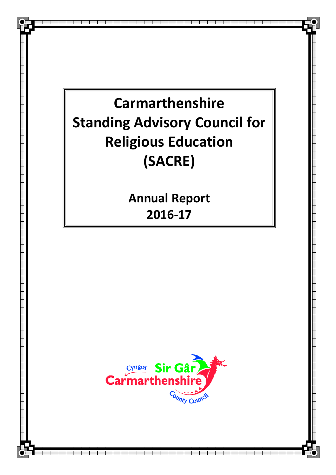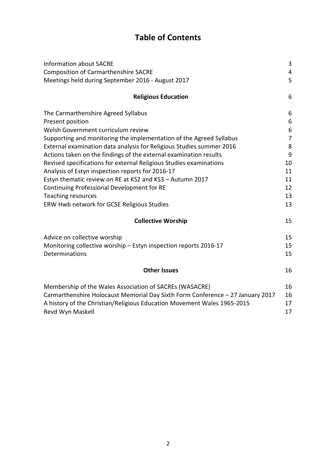# **Table of Contents**

| <b>Information about SACRE</b>                                                              | 3              |
|---------------------------------------------------------------------------------------------|----------------|
| <b>Composition of Carmarthenshire SACRE</b>                                                 | 4              |
| Meetings held during September 2016 - August 2017                                           | 5              |
| <b>Religious Education</b>                                                                  | 6              |
| The Carmarthenshire Agreed Syllabus                                                         | 6              |
| Present position                                                                            | 6              |
| Welsh Government curriculum review                                                          | 6              |
| Supporting and monitoring the implementation of the Agreed Syllabus                         | $\overline{7}$ |
| External examination data analysis for Religious Studies summer 2016                        | 8              |
| Actions taken on the findings of the external examination results                           | 9              |
| Revised specifications for external Religious Studies examinations                          | 10             |
| Analysis of Estyn inspection reports for 2016-17                                            | 11             |
| Estyn thematic review on RE at KS2 and KS3 - Autumn 2017                                    | 11             |
| Continuing Professional Development for RE                                                  | 12             |
| <b>Teaching resources</b>                                                                   | 13             |
| ERW Hwb network for GCSE Religious Studies                                                  | 13             |
| <b>Collective Worship</b>                                                                   | 15             |
| Advice on collective worship                                                                | 15             |
| Monitoring collective worship - Estyn inspection reports 2016-17                            | 15             |
| Determinations                                                                              | 15             |
| <b>Other Issues</b>                                                                         | 16             |
| Membership of the Wales Association of SACREs (WASACRE)                                     | 16             |
| Carmarthenshire Holocaust Memorial Day Sixth Form Conference - 27 January 2017              | 16             |
| A history of the Christian/Religious Education Movement Wales 1965-2015<br>Revd Wyn Maskell | 17<br>17       |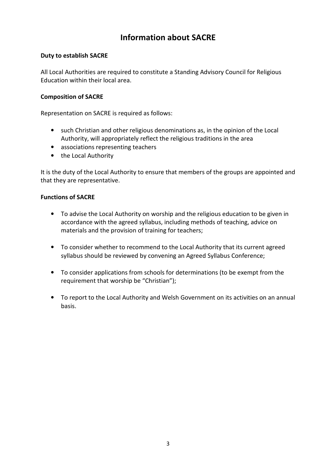## **Information about SACRE**

### **Duty to establish SACRE**

All Local Authorities are required to constitute a Standing Advisory Council for Religious Education within their local area.

#### **Composition of SACRE**

Representation on SACRE is required as follows:

- such Christian and other religious denominations as, in the opinion of the Local Authority, will appropriately reflect the religious traditions in the area
- associations representing teachers
- the Local Authority

It is the duty of the Local Authority to ensure that members of the groups are appointed and that they are representative.

#### **Functions of SACRE**

- To advise the Local Authority on worship and the religious education to be given in accordance with the agreed syllabus, including methods of teaching, advice on materials and the provision of training for teachers;
- To consider whether to recommend to the Local Authority that its current agreed syllabus should be reviewed by convening an Agreed Syllabus Conference;
- To consider applications from schools for determinations (to be exempt from the requirement that worship be "Christian");
- To report to the Local Authority and Welsh Government on its activities on an annual basis.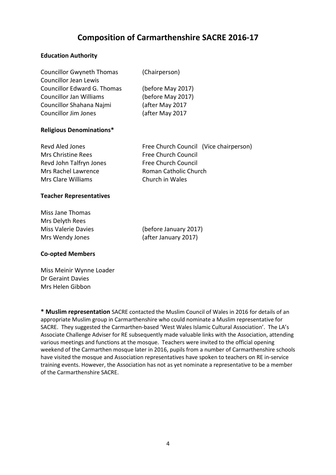## **Composition of Carmarthenshire SACRE 2016-17**

### **Education Authority**

| <b>Councillor Gwyneth Thomas</b>   | (Chairperson)     |
|------------------------------------|-------------------|
| <b>Councillor Jean Lewis</b>       |                   |
| <b>Councillor Edward G. Thomas</b> | (before May 2017) |
| <b>Councillor Jan Williams</b>     | (before May 2017) |
| Councillor Shahana Najmi           | (after May 2017   |
| <b>Councillor Jim Jones</b>        | (after May 2017   |

#### **Religious Denominations\***

| Revd Aled Jones         | Free Church Council (Vice chairperson) |  |
|-------------------------|----------------------------------------|--|
| Mrs Christine Rees      | Free Church Council                    |  |
| Revd John Talfryn Jones | <b>Free Church Council</b>             |  |
| Mrs Rachel Lawrence     | Roman Catholic Church                  |  |
| Mrs Clare Williams      | Church in Wales                        |  |

#### **Teacher Representatives**

| Miss Jane Thomas           |  |  |  |  |
|----------------------------|--|--|--|--|
| Mrs Delyth Rees            |  |  |  |  |
| <b>Miss Valerie Davies</b> |  |  |  |  |
| Mrs Wendy Jones            |  |  |  |  |

(before January 2017) (after January 2017)

#### **Co-opted Members**

Miss Meinir Wynne Loader Dr Geraint Davies Mrs Helen Gibbon

**\* Muslim representation** SACRE contacted the Muslim Council of Wales in 2016 for details of an appropriate Muslim group in Carmarthenshire who could nominate a Muslim representative for SACRE. They suggested the Carmarthen-based 'West Wales Islamic Cultural Association'. The LA's Associate Challenge Adviser for RE subsequently made valuable links with the Association, attending various meetings and functions at the mosque. Teachers were invited to the official opening weekend of the Carmarthen mosque later in 2016, pupils from a number of Carmarthenshire schools have visited the mosque and Association representatives have spoken to teachers on RE in-service training events. However, the Association has not as yet nominate a representative to be a member of the Carmarthenshire SACRE.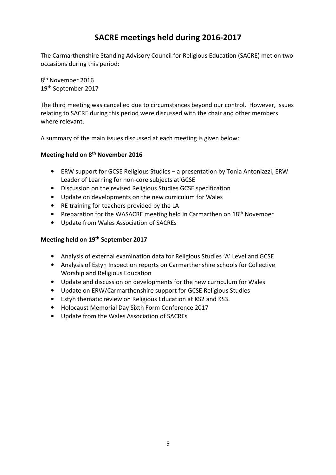## **SACRE meetings held during 2016-2017**

The Carmarthenshire Standing Advisory Council for Religious Education (SACRE) met on two occasions during this period:

8<sup>th</sup> November 2016 19th September 2017

The third meeting was cancelled due to circumstances beyond our control. However, issues relating to SACRE during this period were discussed with the chair and other members where relevant.

A summary of the main issues discussed at each meeting is given below:

## **Meeting held on 8th November 2016**

- ERW support for GCSE Religious Studies a presentation by Tonia Antoniazzi, ERW Leader of Learning for non-core subjects at GCSE
- Discussion on the revised Religious Studies GCSE specification
- Update on developments on the new curriculum for Wales
- RE training for teachers provided by the LA
- Preparation for the WASACRE meeting held in Carmarthen on 18<sup>th</sup> November
- Update from Wales Association of SACREs

## **Meeting held on 19th September 2017**

- Analysis of external examination data for Religious Studies 'A' Level and GCSE
- Analysis of Estyn Inspection reports on Carmarthenshire schools for Collective Worship and Religious Education
- Update and discussion on developments for the new curriculum for Wales
- Update on ERW/Carmarthenshire support for GCSE Religious Studies
- Estyn thematic review on Religious Education at KS2 and KS3.
- Holocaust Memorial Day Sixth Form Conference 2017
- Update from the Wales Association of SACREs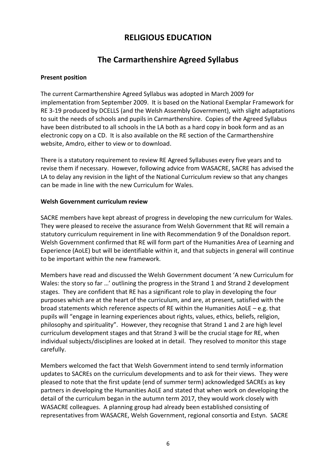## **RELIGIOUS EDUCATION**

## **The Carmarthenshire Agreed Syllabus**

#### **Present position**

The current Carmarthenshire Agreed Syllabus was adopted in March 2009 for implementation from September 2009. It is based on the National Exemplar Framework for RE 3-19 produced by DCELLS (and the Welsh Assembly Government), with slight adaptations to suit the needs of schools and pupils in Carmarthenshire. Copies of the Agreed Syllabus have been distributed to all schools in the LA both as a hard copy in book form and as an electronic copy on a CD. It is also available on the RE section of the Carmarthenshire website, Amdro, either to view or to download.

There is a statutory requirement to review RE Agreed Syllabuses every five years and to revise them if necessary. However, following advice from WASACRE, SACRE has advised the LA to delay any revision in the light of the National Curriculum review so that any changes can be made in line with the new Curriculum for Wales.

#### **Welsh Government curriculum review**

SACRE members have kept abreast of progress in developing the new curriculum for Wales. They were pleased to receive the assurance from Welsh Government that RE will remain a statutory curriculum requirement in line with Recommendation 9 of the Donaldson report. Welsh Government confirmed that RE will form part of the Humanities Area of Learning and Experience (AoLE) but will be identifiable within it, and that subjects in general will continue to be important within the new framework.

Members have read and discussed the Welsh Government document 'A new Curriculum for Wales: the story so far …' outlining the progress in the Strand 1 and Strand 2 development stages. They are confident that RE has a significant role to play in developing the four purposes which are at the heart of the curriculum, and are, at present, satisfied with the broad statements which reference aspects of RE within the Humanities AoLE – e.g. that pupils will "engage in learning experiences about rights, values, ethics, beliefs, religion, philosophy and spirituality". However, they recognise that Strand 1 and 2 are high level curriculum development stages and that Strand 3 will be the crucial stage for RE, when individual subjects/disciplines are looked at in detail. They resolved to monitor this stage carefully.

Members welcomed the fact that Welsh Government intend to send termly information updates to SACREs on the curriculum developments and to ask for their views. They were pleased to note that the first update (end of summer term) acknowledged SACREs as key partners in developing the Humanities AoLE and stated that when work on developing the detail of the curriculum began in the autumn term 2017, they would work closely with WASACRE colleagues. A planning group had already been established consisting of representatives from WASACRE, Welsh Government, regional consortia and Estyn. SACRE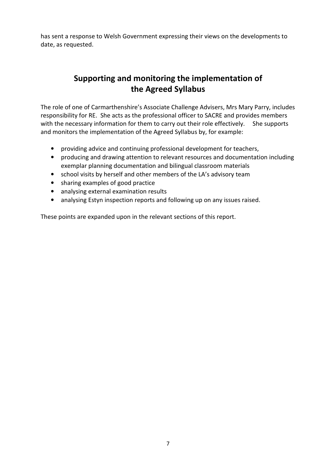has sent a response to Welsh Government expressing their views on the developments to date, as requested.

## **Supporting and monitoring the implementation of the Agreed Syllabus**

The role of one of Carmarthenshire's Associate Challenge Advisers, Mrs Mary Parry, includes responsibility for RE. She acts as the professional officer to SACRE and provides members with the necessary information for them to carry out their role effectively. She supports and monitors the implementation of the Agreed Syllabus by, for example:

- providing advice and continuing professional development for teachers,
- producing and drawing attention to relevant resources and documentation including exemplar planning documentation and bilingual classroom materials
- school visits by herself and other members of the LA's advisory team
- sharing examples of good practice
- analysing external examination results
- analysing Estyn inspection reports and following up on any issues raised.

These points are expanded upon in the relevant sections of this report.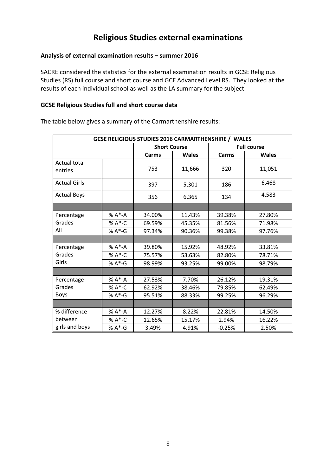## **Religious Studies external examinations**

#### **Analysis of external examination results – summer 2016**

SACRE considered the statistics for the external examination results in GCSE Religious Studies (RS) full course and short course and GCE Advanced Level RS. They looked at the results of each individual school as well as the LA summary for the subject.

#### **GCSE Religious Studies full and short course data**

**GCSE RELIGIOUS STUDIES 2016 CARMARTHENSHIRE / WALES Short Course Full course Carms Wales Carms Wales** Actual total entries 11,051 753 11,666 320 11,051 Actual Girls 397 5,301 186 6,468 Actual Boys  $\begin{vmatrix} 356 & 6,365 & 134 \end{vmatrix}$  4,583 Percentage Grades All % A\*-A 34.00% 11.43% 39.38% 27.80% % A<sup>\*</sup>-C 69.59% 45.35% 81.56% 71.98% % A\*-G 97.34% 90.36% 99.38% 97.76% Percentage Grades Girls % A\*-A 39.80% 15.92% 48.92% 33.81% % A\*-C | 75.57% | 53.63% | 82.80% | 78.71% % A\*-G 98.99% 93.25% 99.00% 98.79% Percentage Grades Boys % A\*-A 27.53% 7.70% 26.12% 19.31% % A\*-C | 62.92% | 38.46% | 79.85% | 62.49% % A\*-G | 95.51% | 88.33% | 99.25% | 96.29% % difference between girls and boys % A<sup>\*</sup>-A 12.27% 8.22% 22.81% 14.50% % A\*-C 12.65% 15.17% 2.94% 16.22% % A\*-G | 3.49% | 4.91% | -0.25% | 2.50%

The table below gives a summary of the Carmarthenshire results: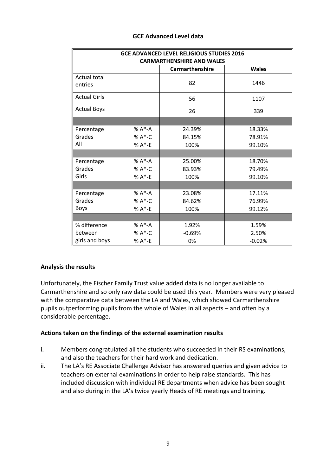| <b>GCE ADVANCED LEVEL RELIGIOUS STUDIES 2016</b><br><b>CARMARTHENSHIRE AND WALES</b> |             |          |          |  |
|--------------------------------------------------------------------------------------|-------------|----------|----------|--|
|                                                                                      |             |          |          |  |
| <b>Actual total</b><br>entries                                                       |             | 82       | 1446     |  |
| <b>Actual Girls</b>                                                                  |             | 56       | 1107     |  |
| <b>Actual Boys</b>                                                                   |             | 26       | 339      |  |
|                                                                                      |             |          |          |  |
| Percentage                                                                           | % A*-A      | 24.39%   | 18.33%   |  |
| Grades                                                                               | % A*-C      | 84.15%   | 78.91%   |  |
| All                                                                                  | $% A* - E$  | 100%     | 99.10%   |  |
|                                                                                      |             |          |          |  |
| Percentage                                                                           | $% A^* - A$ | 25.00%   | 18.70%   |  |
| Grades                                                                               | % A*-C      | 83.93%   | 79.49%   |  |
| Girls                                                                                | % A*-E      | 100%     | 99.10%   |  |
|                                                                                      |             |          |          |  |
| Percentage                                                                           | % A*-A      | 23.08%   | 17.11%   |  |
| Grades                                                                               | % A*-C      | 84.62%   | 76.99%   |  |
| <b>Boys</b>                                                                          | $% A*-E$    | 100%     | 99.12%   |  |
|                                                                                      |             |          |          |  |
| % difference                                                                         | % A*-A      | 1.92%    | 1.59%    |  |
| between                                                                              | % A*-C      | $-0.69%$ | 2.50%    |  |
| girls and boys                                                                       | $% A*-E$    | 0%       | $-0.02%$ |  |

#### **GCE Advanced Level data**

#### **Analysis the results**

Unfortunately, the Fischer Family Trust value added data is no longer available to Carmarthenshire and so only raw data could be used this year. Members were very pleased with the comparative data between the LA and Wales, which showed Carmarthenshire pupils outperforming pupils from the whole of Wales in all aspects – and often by a considerable percentage.

#### **Actions taken on the findings of the external examination results**

- i. Members congratulated all the students who succeeded in their RS examinations, and also the teachers for their hard work and dedication.
- ii. The LA's RE Associate Challenge Advisor has answered queries and given advice to teachers on external examinations in order to help raise standards. This has included discussion with individual RE departments when advice has been sought and also during in the LA's twice yearly Heads of RE meetings and training.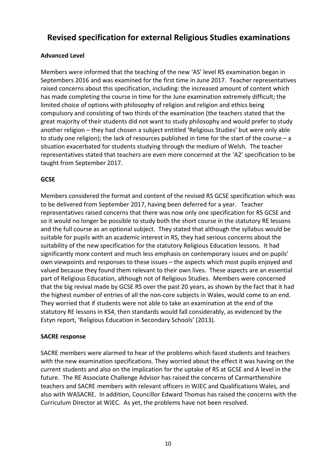## **Revised specification for external Religious Studies examinations**

## **Advanced Level**

Members were informed that the teaching of the new 'AS' level RS examination began in Septembers 2016 and was examined for the first time in June 2017. Teacher representatives raised concerns about this specification, including: the increased amount of content which has made completing the course in time for the June examination extremely difficult; the limited choice of options with philosophy of religion and religion and ethics being compulsory and consisting of two thirds of the examination (the teachers stated that the great majority of their students did not want to study philosophy and would prefer to study another religion – they had chosen a subject entitled 'Religious Studies' but were only able to study one religion); the lack of resources published in time for the start of the course – a situation exacerbated for students studying through the medium of Welsh. The teacher representatives stated that teachers are even more concerned at the 'A2' specification to be taught from September 2017.

## **GCSE**

Members considered the format and content of the revised RS GCSE specification which was to be delivered from September 2017, having been deferred for a year. Teacher representatives raised concerns that there was now only one specification for RS GCSE and so it would no longer be possible to study both the short course in the statutory RE lessons and the full course as an optional subject. They stated that although the syllabus would be suitable for pupils with an academic interest in RS, they had serious concerns about the suitability of the new specification for the statutory Religious Education lessons. It had significantly more content and much less emphasis on contemporary issues and on pupils' own viewpoints and responses to these issues – the aspects which most pupils enjoyed and valued because they found them relevant to their own lives. These aspects are an essential part of Religious Education, although not of Religious Studies. Members were concerned that the big revival made by GCSE RS over the past 20 years, as shown by the fact that it had the highest number of entries of all the non-core subjects in Wales, would come to an end. They worried that if students were not able to take an examination at the end of the statutory RE lessons in KS4, then standards would fall considerably, as evidenced by the Estyn report, 'Religious Education in Secondary Schools' (2013).

## **SACRE response**

SACRE members were alarmed to hear of the problems which faced students and teachers with the new examination specifications. They worried about the effect it was having on the current students and also on the implication for the uptake of RS at GCSE and A level in the future. The RE Associate Challenge Advisor has raised the concerns of Carmarthenshire teachers and SACRE members with relevant officers in WJEC and Qualifications Wales, and also with WASACRE. In addition, Councillor Edward Thomas has raised the concerns with the Curriculum Director at WJEC. As yet, the problems have not been resolved.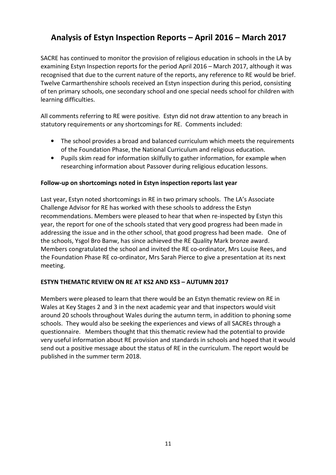## **Analysis of Estyn Inspection Reports – April 2016 – March 2017**

SACRE has continued to monitor the provision of religious education in schools in the LA by examining Estyn Inspection reports for the period April 2016 – March 2017, although it was recognised that due to the current nature of the reports, any reference to RE would be brief. Twelve Carmarthenshire schools received an Estyn inspection during this period, consisting of ten primary schools, one secondary school and one special needs school for children with learning difficulties.

All comments referring to RE were positive. Estyn did not draw attention to any breach in statutory requirements or any shortcomings for RE. Comments included:

- The school provides a broad and balanced curriculum which meets the requirements of the Foundation Phase, the National Curriculum and religious education.
- Pupils skim read for information skilfully to gather information, for example when researching information about Passover during religious education lessons.

#### **Follow-up on shortcomings noted in Estyn inspection reports last year**

Last year, Estyn noted shortcomings in RE in two primary schools. The LA's Associate Challenge Advisor for RE has worked with these schools to address the Estyn recommendations. Members were pleased to hear that when re-inspected by Estyn this year, the report for one of the schools stated that very good progress had been made in addressing the issue and in the other school, that good progress had been made. One of the schools, Ysgol Bro Banw, has since achieved the RE Quality Mark bronze award. Members congratulated the school and invited the RE co-ordinator, Mrs Louise Rees, and the Foundation Phase RE co-ordinator, Mrs Sarah Pierce to give a presentation at its next meeting.

#### **ESTYN THEMATIC REVIEW ON RE AT KS2 AND KS3 – AUTUMN 2017**

Members were pleased to learn that there would be an Estyn thematic review on RE in Wales at Key Stages 2 and 3 in the next academic year and that inspectors would visit around 20 schools throughout Wales during the autumn term, in addition to phoning some schools. They would also be seeking the experiences and views of all SACREs through a questionnaire. Members thought that this thematic review had the potential to provide very useful information about RE provision and standards in schools and hoped that it would send out a positive message about the status of RE in the curriculum. The report would be published in the summer term 2018.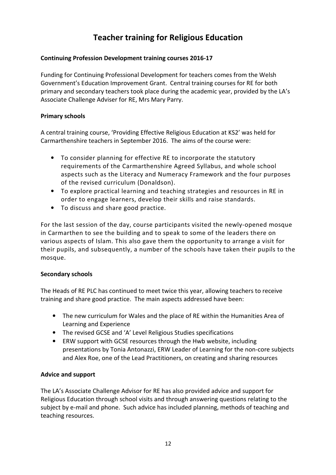## **Teacher training for Religious Education**

## **Continuing Profession Development training courses 2016-17**

Funding for Continuing Professional Development for teachers comes from the Welsh Government's Education Improvement Grant. Central training courses for RE for both primary and secondary teachers took place during the academic year, provided by the LA's Associate Challenge Adviser for RE, Mrs Mary Parry.

## **Primary schools**

A central training course, 'Providing Effective Religious Education at KS2' was held for Carmarthenshire teachers in September 2016. The aims of the course were:

- To consider planning for effective RE to incorporate the statutory requirements of the Carmarthenshire Agreed Syllabus, and whole school aspects such as the Literacy and Numeracy Framework and the four purposes of the revised curriculum (Donaldson).
- To explore practical learning and teaching strategies and resources in RE in order to engage learners, develop their skills and raise standards.
- To discuss and share good practice.

For the last session of the day, course participants visited the newly-opened mosque in Carmarthen to see the building and to speak to some of the leaders there on various aspects of Islam. This also gave them the opportunity to arrange a visit for their pupils, and subsequently, a number of the schools have taken their pupils to the mosque.

## **Secondary schools**

The Heads of RE PLC has continued to meet twice this year, allowing teachers to receive training and share good practice. The main aspects addressed have been:

- The new curriculum for Wales and the place of RE within the Humanities Area of Learning and Experience
- The revised GCSE and 'A' Level Religious Studies specifications
- ERW support with GCSE resources through the Hwb website, including presentations by Tonia Antonazzi, ERW Leader of Learning for the non-core subjects and Alex Roe, one of the Lead Practitioners, on creating and sharing resources

#### **Advice and support**

The LA's Associate Challenge Advisor for RE has also provided advice and support for Religious Education through school visits and through answering questions relating to the subject by e-mail and phone. Such advice has included planning, methods of teaching and teaching resources.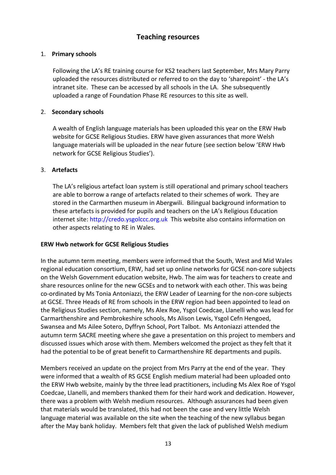## **Teaching resources**

## 1. **Primary schools**

Following the LA's RE training course for KS2 teachers last September, Mrs Mary Parry uploaded the resources distributed or referred to on the day to 'sharepoint' - the LA's intranet site. These can be accessed by all schools in the LA. She subsequently uploaded a range of Foundation Phase RE resources to this site as well.

### 2. **Secondary schools**

A wealth of English language materials has been uploaded this year on the ERW Hwb website for GCSE Religious Studies. ERW have given assurances that more Welsh language materials will be uploaded in the near future (see section below 'ERW Hwb network for GCSE Religious Studies').

#### 3. **Artefacts**

The LA's religious artefact loan system is still operational and primary school teachers are able to borrow a range of artefacts related to their schemes of work. They are stored in the Carmarthen museum in Abergwili. Bilingual background information to these artefacts is provided for pupils and teachers on the LA's Religious Education internet site: http://credo.ysgolccc.org.uk This website also contains information on other aspects relating to RE in Wales.

#### **ERW Hwb network for GCSE Religious Studies**

In the autumn term meeting, members were informed that the South, West and Mid Wales regional education consortium, ERW, had set up online networks for GCSE non-core subjects on the Welsh Government education website, Hwb. The aim was for teachers to create and share resources online for the new GCSEs and to network with each other. This was being co-ordinated by Ms Tonia Antoniazzi, the ERW Leader of Learning for the non-core subjects at GCSE. Three Heads of RE from schools in the ERW region had been appointed to lead on the Religious Studies section, namely, Ms Alex Roe, Ysgol Coedcae, Llanelli who was lead for Carmarthenshire and Pembrokeshire schools, Ms Alison Lewis, Ysgol Cefn Hengoed, Swansea and Ms Ailee Sotero, Dyffryn School, Port Talbot. Ms Antoniazzi attended the autumn term SACRE meeting where she gave a presentation on this project to members and discussed issues which arose with them. Members welcomed the project as they felt that it had the potential to be of great benefit to Carmarthenshire RE departments and pupils.

Members received an update on the project from Mrs Parry at the end of the year. They were informed that a wealth of RS GCSE English medium material had been uploaded onto the ERW Hwb website, mainly by the three lead practitioners, including Ms Alex Roe of Ysgol Coedcae, Llanelli, and members thanked them for their hard work and dedication. However, there was a problem with Welsh medium resources. Although assurances had been given that materials would be translated, this had not been the case and very little Welsh language material was available on the site when the teaching of the new syllabus began after the May bank holiday. Members felt that given the lack of published Welsh medium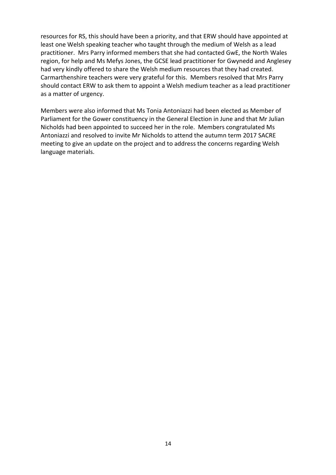resources for RS, this should have been a priority, and that ERW should have appointed at least one Welsh speaking teacher who taught through the medium of Welsh as a lead practitioner. Mrs Parry informed members that she had contacted GwE, the North Wales region, for help and Ms Mefys Jones, the GCSE lead practitioner for Gwynedd and Anglesey had very kindly offered to share the Welsh medium resources that they had created. Carmarthenshire teachers were very grateful for this. Members resolved that Mrs Parry should contact ERW to ask them to appoint a Welsh medium teacher as a lead practitioner as a matter of urgency.

Members were also informed that Ms Tonia Antoniazzi had been elected as Member of Parliament for the Gower constituency in the General Election in June and that Mr Julian Nicholds had been appointed to succeed her in the role. Members congratulated Ms Antoniazzi and resolved to invite Mr Nicholds to attend the autumn term 2017 SACRE meeting to give an update on the project and to address the concerns regarding Welsh language materials.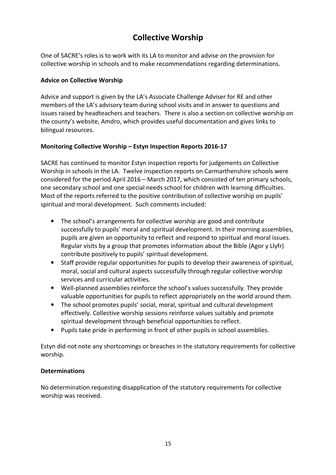## **Collective Worship**

One of SACRE's roles is to work with its LA to monitor and advise on the provision for collective worship in schools and to make recommendations regarding determinations.

## **Advice on Collective Worship**

Advice and support is given by the LA's Associate Challenge Adviser for RE and other members of the LA's advisory team during school visits and in answer to questions and issues raised by headteachers and teachers. There is also a section on collective worship on the county's website, Amdro, which provides useful documentation and gives links to bilingual resources.

## **Monitoring Collective Worship – Estyn Inspection Reports 2016-17**

SACRE has continued to monitor Estyn inspection reports for judgements on Collective Worship in schools in the LA. Twelve inspection reports on Carmarthenshire schools were considered for the period April 2016 – March 2017, which consisted of ten primary schools, one secondary school and one special needs school for children with learning difficulties. Most of the reports referred to the positive contribution of collective worship on pupils' spiritual and moral development. Such comments included:

- The school's arrangements for collective worship are good and contribute successfully to pupils' moral and spiritual development. In their morning assemblies, pupils are given an opportunity to reflect and respond to spiritual and moral issues. Regular visits by a group that promotes information about the Bible (Agor y Llyfr) contribute positively to pupils' spiritual development.
- Staff provide regular opportunities for pupils to develop their awareness of spiritual, moral, social and cultural aspects successfully through regular collective worship services and curricular activities.
- Well-planned assemblies reinforce the school's values successfully. They provide valuable opportunities for pupils to reflect appropriately on the world around them.
- The school promotes pupils' social, moral, spiritual and cultural development effectively. Collective worship sessions reinforce values suitably and promote spiritual development through beneficial opportunities to reflect.
- Pupils take pride in performing in front of other pupils in school assemblies.

Estyn did not note any shortcomings or breaches in the statutory requirements for collective worship.

#### **Determinations**

No determination requesting disapplication of the statutory requirements for collective worship was received.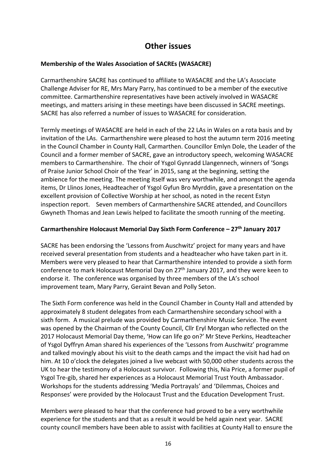## **Other issues**

## **Membership of the Wales Association of SACREs (WASACRE)**

Carmarthenshire SACRE has continued to affiliate to WASACRE and the LA's Associate Challenge Adviser for RE, Mrs Mary Parry, has continued to be a member of the executive committee. Carmarthenshire representatives have been actively involved in WASACRE meetings, and matters arising in these meetings have been discussed in SACRE meetings. SACRE has also referred a number of issues to WASACRE for consideration.

Termly meetings of WASACRE are held in each of the 22 LAs in Wales on a rota basis and by invitation of the LAs. Carmarthenshire were pleased to host the autumn term 2016 meeting in the Council Chamber in County Hall, Carmarthen. Councillor Emlyn Dole, the Leader of the Council and a former member of SACRE, gave an introductory speech, welcoming WASACRE members to Carmarthenshire. The choir of Ysgol Gynradd Llangennech, winners of 'Songs of Praise Junior School Choir of the Year' in 2015, sang at the beginning, setting the ambience for the meeting. The meeting itself was very worthwhile, and amongst the agenda items, Dr Llinos Jones, Headteacher of Ysgol Gyfun Bro Myrddin, gave a presentation on the excellent provision of Collective Worship at her school, as noted in the recent Estyn inspection report. Seven members of Carmarthenshire SACRE attended, and Councillors Gwyneth Thomas and Jean Lewis helped to facilitate the smooth running of the meeting.

## **Carmarthenshire Holocaust Memorial Day Sixth Form Conference – 27th January 2017**

SACRE has been endorsing the 'Lessons from Auschwitz' project for many years and have received several presentation from students and a headteacher who have taken part in it. Members were very pleased to hear that Carmarthenshire intended to provide a sixth form conference to mark Holocaust Memorial Day on  $27<sup>th</sup>$  January 2017, and they were keen to endorse it. The conference was organised by three members of the LA's school improvement team, Mary Parry, Geraint Bevan and Polly Seton.

The Sixth Form conference was held in the Council Chamber in County Hall and attended by approximately 8 student delegates from each Carmarthenshire secondary school with a sixth form. A musical prelude was provided by Carmarthenshire Music Service. The event was opened by the Chairman of the County Council, Cllr Eryl Morgan who reflected on the 2017 Holocaust Memorial Day theme, 'How can life go on?' Mr Steve Perkins, Headteacher of Ysgol Dyffryn Aman shared his experiences of the 'Lessons from Auschwitz' programme and talked movingly about his visit to the death camps and the impact the visit had had on him. At 10 o'clock the delegates joined a live webcast with 50,000 other students across the UK to hear the testimony of a Holocaust survivor. Following this, Nia Price, a former pupil of Ysgol Tre-gib, shared her experiences as a Holocaust Memorial Trust Youth Ambassador. Workshops for the students addressing 'Media Portrayals' and 'Dilemmas, Choices and Responses' were provided by the Holocaust Trust and the Education Development Trust.

Members were pleased to hear that the conference had proved to be a very worthwhile experience for the students and that as a result it would be held again next year. SACRE county council members have been able to assist with facilities at County Hall to ensure the